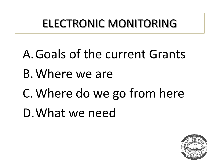## ELECTRONIC MONITORING

A.Goals of the current Grants B.Where we are C.Where do we go from here D.What we need

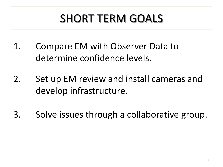# SHORT TERM GOALS

- 1. Compare EM with Observer Data to determine confidence levels.
- 2. Set up EM review and install cameras and develop infrastructure.
- 3. Solve issues through a collaborative group.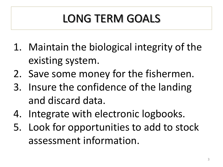# LONG TERM GOALS

- 1. Maintain the biological integrity of the existing system.
- 2. Save some money for the fishermen.
- 3. Insure the confidence of the landing and discard data.
- 4. Integrate with electronic logbooks.
- 5. Look for opportunities to add to stock assessment information.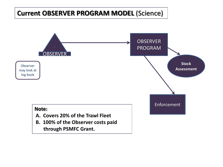### **Current OBSERVER PROGRAM MODEL** (Science)

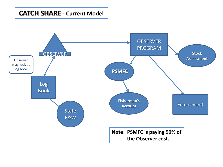#### **CATCH SHARE - Current Model**

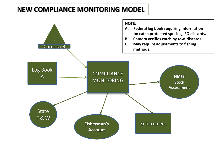### **NEW COMPLIANCE MONITORING MODEL**

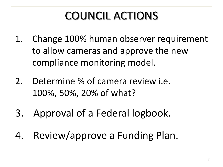# COUNCIL ACTIONS

- 1. Change 100% human observer requirement to allow cameras and approve the new compliance monitoring model.
- 2. Determine % of camera review i.e. 100%, 50%, 20% of what?
- 3. Approval of a Federal logbook.
- 4. Review/approve a Funding Plan.